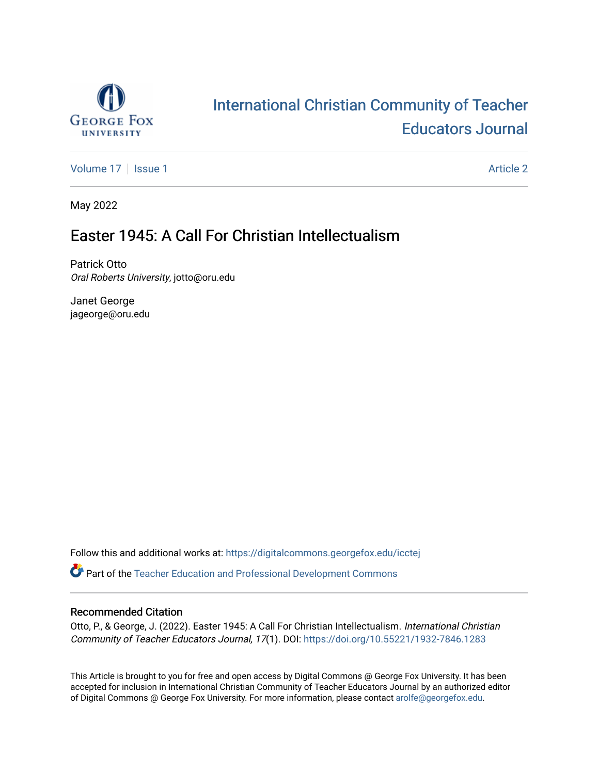

## [International Christian Community of Teacher](https://digitalcommons.georgefox.edu/icctej)  [Educators Journal](https://digitalcommons.georgefox.edu/icctej)

[Volume 17](https://digitalcommons.georgefox.edu/icctej/vol17) | [Issue 1](https://digitalcommons.georgefox.edu/icctej/vol17/iss1) Article 2

May 2022

### Easter 1945: A Call For Christian Intellectualism

Patrick Otto Oral Roberts University, jotto@oru.edu

Janet George jageorge@oru.edu

Follow this and additional works at: [https://digitalcommons.georgefox.edu/icctej](https://digitalcommons.georgefox.edu/icctej?utm_source=digitalcommons.georgefox.edu%2Ficctej%2Fvol17%2Fiss1%2F2&utm_medium=PDF&utm_campaign=PDFCoverPages) 

Part of the [Teacher Education and Professional Development Commons](http://network.bepress.com/hgg/discipline/803?utm_source=digitalcommons.georgefox.edu%2Ficctej%2Fvol17%2Fiss1%2F2&utm_medium=PDF&utm_campaign=PDFCoverPages) 

#### Recommended Citation

Otto, P., & George, J. (2022). Easter 1945: A Call For Christian Intellectualism. International Christian Community of Teacher Educators Journal, 17(1). DOI: <https://doi.org/10.55221/1932-7846.1283>

This Article is brought to you for free and open access by Digital Commons @ George Fox University. It has been accepted for inclusion in International Christian Community of Teacher Educators Journal by an authorized editor of Digital Commons @ George Fox University. For more information, please contact [arolfe@georgefox.edu](mailto:arolfe@georgefox.edu).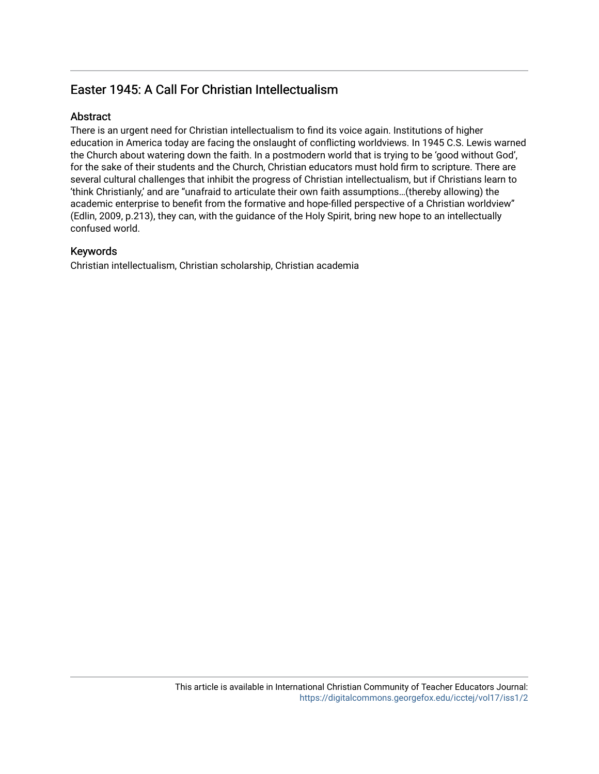### Easter 1945: A Call For Christian Intellectualism

#### Abstract

There is an urgent need for Christian intellectualism to find its voice again. Institutions of higher education in America today are facing the onslaught of conflicting worldviews. In 1945 C.S. Lewis warned the Church about watering down the faith. In a postmodern world that is trying to be 'good without God', for the sake of their students and the Church, Christian educators must hold firm to scripture. There are several cultural challenges that inhibit the progress of Christian intellectualism, but if Christians learn to 'think Christianly,' and are "unafraid to articulate their own faith assumptions…(thereby allowing) the academic enterprise to benefit from the formative and hope-filled perspective of a Christian worldview" (Edlin, 2009, p.213), they can, with the guidance of the Holy Spirit, bring new hope to an intellectually confused world.

#### Keywords

Christian intellectualism, Christian scholarship, Christian academia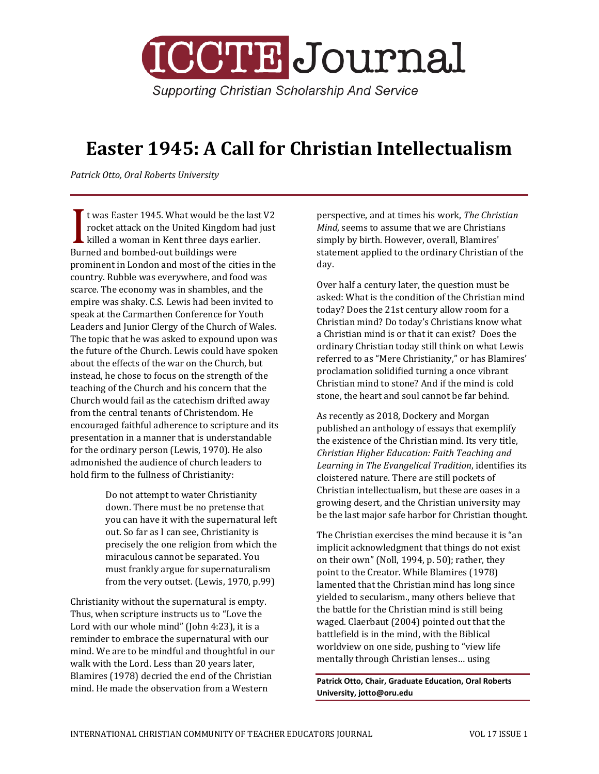

# **Easter 1945: A Call for Christian Intellectualism**

*Patrick Otto, Oral Roberts University*

t was Easter 1945. What would be the last V2 rocket attack on the United Kingdom had just  $\blacktriangle$  killed a woman in Kent three days earlier. Twas Easter 1945, what would be the<br>
rocket attack on the United Kingdom<br>
killed a woman in Kent three days ea<br>
Burned and bombed-out buildings were prominent in London and most of the cities in the country. Rubble was everywhere, and food was scarce. The economy was in shambles, and the empire was shaky. C.S. Lewis had been invited to speak at the Carmarthen Conference for Youth Leaders and Junior Clergy of the Church of Wales. The topic that he was asked to expound upon was the future of the Church. Lewis could have spoken about the effects of the war on the Church, but instead, he chose to focus on the strength of the teaching of the Church and his concern that the Church would fail as the catechism drifted away from the central tenants of Christendom. He encouraged faithful adherence to scripture and its presentation in a manner that is understandable for the ordinary person (Lewis, 1970). He also admonished the audience of church leaders to hold firm to the fullness of Christianity:

> Do not attempt to water Christianity down. There must be no pretense that you can have it with the supernatural left out. So far as I can see, Christianity is precisely the one religion from which the miraculous cannot be separated. You must frankly argue for supernaturalism from the very outset. (Lewis, 1970, p.99)

Christianity without the supernatural is empty. Thus, when scripture instructs us to "Love the Lord with our whole mind" (John 4:23), it is a reminder to embrace the supernatural with our mind. We are to be mindful and thoughtful in our walk with the Lord. Less than 20 years later, Blamires (1978) decried the end of the Christian mind. He made the observation from a Western

perspective, and at times his work, *The Christian Mind*, seems to assume that we are Christians simply by birth. However, overall, Blamires' statement applied to the ordinary Christian of the day.

Over half a century later, the question must be asked: What is the condition of the Christian mind today? Does the 21st century allow room for a Christian mind? Do today's Christians know what a Christian mind is or that it can exist? Does the ordinary Christian today still think on what Lewis referred to as "Mere Christianity," or has Blamires' proclamation solidified turning a once vibrant Christian mind to stone? And if the mind is cold stone, the heart and soul cannot be far behind.

As recently as 2018, Dockery and Morgan published an anthology of essays that exemplify the existence of the Christian mind. Its very title, *Christian Higher Education: Faith Teaching and Learning in The Evangelical Tradition*, identifies its cloistered nature. There are still pockets of Christian intellectualism, but these are oases in a growing desert, and the Christian university may be the last major safe harbor for Christian thought.

The Christian exercises the mind because it is "an implicit acknowledgment that things do not exist on their own" (Noll, 1994, p. 50); rather, they point to the Creator. While Blamires (1978) lamented that the Christian mind has long since yielded to secularism., many others believe that the battle for the Christian mind is still being waged. Claerbaut (2004) pointed out that the battlefield is in the mind, with the Biblical worldview on one side, pushing to "view life mentally through Christian lenses… using

**Patrick Otto, Chair, Graduate Education, Oral Roberts University, jotto@oru.edu**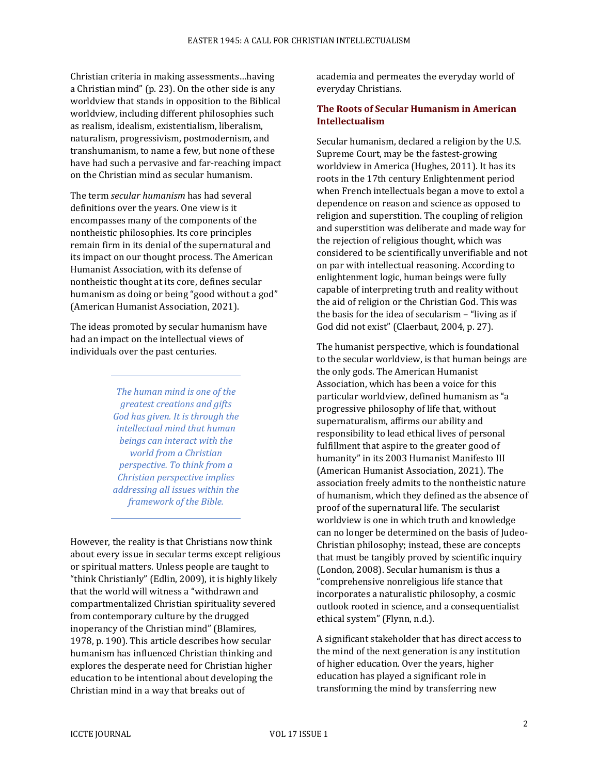Christian criteria in making assessments…having a Christian mind" (p. 23). On the other side is any worldview that stands in opposition to the Biblical worldview, including different philosophies such as realism, idealism, existentialism, liberalism, naturalism, progressivism, postmodernism, and transhumanism, to name a few, but none of these have had such a pervasive and far-reaching impact on the Christian mind as secular humanism.

The term *secular humanism* has had several definitions over the years. One view is it encompasses many of the components of the nontheistic philosophies. Its core principles remain firm in its denial of the supernatural and its impact on our thought process. The American Humanist Association, with its defense of nontheistic thought at its core, defines secular humanism as doing or being "good without a god" (American Humanist Association, 2021).

The ideas promoted by secular humanism have had an impact on the intellectual views of individuals over the past centuries.

> *The human mind is one of the greatest creations and gifts God has given. It is through the intellectual mind that human beings can interact with the world from a Christian perspective. To think from a Christian perspective implies addressing all issues within the framework of the Bible.*

However, the reality is that Christians now think about every issue in secular terms except religious or spiritual matters. Unless people are taught to "think Christianly" (Edlin, 2009), it is highly likely that the world will witness a "withdrawn and compartmentalized Christian spirituality severed from contemporary culture by the drugged inoperancy of the Christian mind" (Blamires, 1978, p. 190). This article describes how secular humanism has influenced Christian thinking and explores the desperate need for Christian higher education to be intentional about developing the Christian mind in a way that breaks out of

academia and permeates the everyday world of everyday Christians.

#### **The Roots of Secular Humanism in American Intellectualism**

Secular humanism, declared a religion by the U.S. Supreme Court, may be the fastest-growing worldview in America (Hughes, 2011). It has its roots in the 17th century Enlightenment period when French intellectuals began a move to extol a dependence on reason and science as opposed to religion and superstition. The coupling of religion and superstition was deliberate and made way for the rejection of religious thought, which was considered to be scientifically unverifiable and not on par with intellectual reasoning. According to enlightenment logic, human beings were fully capable of interpreting truth and reality without the aid of religion or the Christian God. This was the basis for the idea of secularism – "living as if God did not exist" (Claerbaut, 2004, p. 27).

The humanist perspective, which is foundational to the secular worldview, is that human beings are the only gods. The American Humanist Association, which has been a voice for this particular worldview, defined humanism as "a progressive philosophy of life that, without supernaturalism, affirms our ability and responsibility to lead ethical lives of personal fulfillment that aspire to the greater good of humanity" in its 2003 Humanist Manifesto III (American Humanist Association, 2021). The association freely admits to the nontheistic nature of humanism, which they defined as the absence of proof of the supernatural life. The secularist worldview is one in which truth and knowledge can no longer be determined on the basis of Judeo-Christian philosophy; instead, these are concepts that must be tangibly proved by scientific inquiry (London, 2008). Secular humanism is thus a "comprehensive nonreligious life stance that incorporates a naturalistic philosophy, a cosmic outlook rooted in science, and a consequentialist ethical system" (Flynn, n.d.).

A significant stakeholder that has direct access to the mind of the next generation is any institution of higher education. Over the years, higher education has played a significant role in transforming the mind by transferring new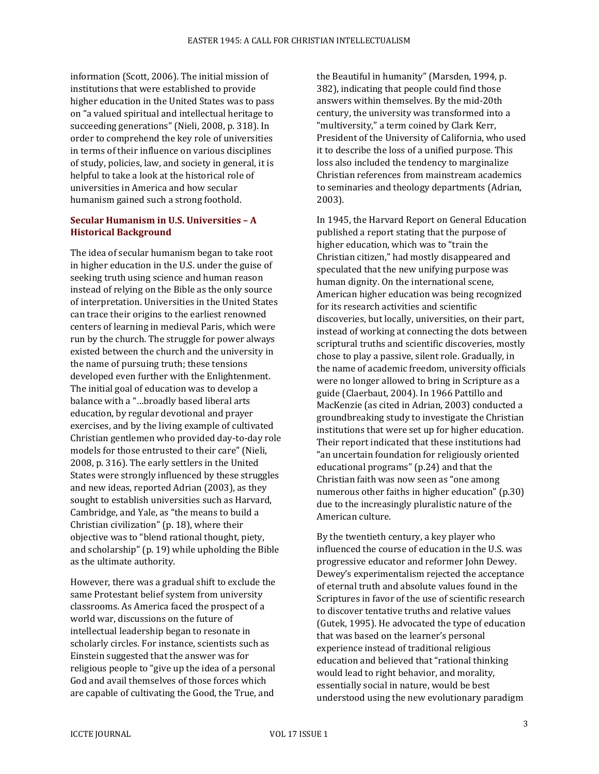information (Scott, 2006). The initial mission of institutions that were established to provide higher education in the United States was to pass on "a valued spiritual and intellectual heritage to succeeding generations" (Nieli, 2008, p. 318). In order to comprehend the key role of universities in terms of their influence on various disciplines of study, policies, law, and society in general, it is helpful to take a look at the historical role of universities in America and how secular humanism gained such a strong foothold.

#### **Secular Humanism in U.S. Universities – A Historical Background**

The idea of secular humanism began to take root in higher education in the U.S. under the guise of seeking truth using science and human reason instead of relying on the Bible as the only source of interpretation. Universities in the United States can trace their origins to the earliest renowned centers of learning in medieval Paris, which were run by the church. The struggle for power always existed between the church and the university in the name of pursuing truth; these tensions developed even further with the Enlightenment. The initial goal of education was to develop a balance with a "…broadly based liberal arts education, by regular devotional and prayer exercises, and by the living example of cultivated Christian gentlemen who provided day-to-day role models for those entrusted to their care" (Nieli, 2008, p. 316). The early settlers in the United States were strongly influenced by these struggles and new ideas, reported Adrian (2003), as they sought to establish universities such as Harvard, Cambridge, and Yale, as "the means to build a Christian civilization" (p. 18), where their objective was to "blend rational thought, piety, and scholarship" (p. 19) while upholding the Bible as the ultimate authority.

However, there was a gradual shift to exclude the same Protestant belief system from university classrooms. As America faced the prospect of a world war, discussions on the future of intellectual leadership began to resonate in scholarly circles. For instance, scientists such as Einstein suggested that the answer was for religious people to "give up the idea of a personal God and avail themselves of those forces which are capable of cultivating the Good, the True, and

the Beautiful in humanity" (Marsden, 1994, p. 382), indicating that people could find those answers within themselves. By the mid-20th century, the university was transformed into a "multiversity," a term coined by Clark Kerr, President of the University of California, who used it to describe the loss of a unified purpose. This loss also included the tendency to marginalize Christian references from mainstream academics to seminaries and theology departments (Adrian, 2003).

In 1945, the Harvard Report on General Education published a report stating that the purpose of higher education, which was to "train the Christian citizen," had mostly disappeared and speculated that the new unifying purpose was human dignity. On the international scene, American higher education was being recognized for its research activities and scientific discoveries, but locally, universities, on their part, instead of working at connecting the dots between scriptural truths and scientific discoveries, mostly chose to play a passive, silent role. Gradually, in the name of academic freedom, university officials were no longer allowed to bring in Scripture as a guide (Claerbaut, 2004). In 1966 Pattillo and MacKenzie (as cited in Adrian, 2003) conducted a groundbreaking study to investigate the Christian institutions that were set up for higher education. Their report indicated that these institutions had "an uncertain foundation for religiously oriented educational programs" (p.24) and that the Christian faith was now seen as "one among numerous other faiths in higher education" (p.30) due to the increasingly pluralistic nature of the American culture.

By the twentieth century, a key player who influenced the course of education in the U.S. was progressive educator and reformer John Dewey. Dewey's experimentalism rejected the acceptance of eternal truth and absolute values found in the Scriptures in favor of the use of scientific research to discover tentative truths and relative values (Gutek, 1995). He advocated the type of education that was based on the learner's personal experience instead of traditional religious education and believed that "rational thinking would lead to right behavior, and morality, essentially social in nature, would be best understood using the new evolutionary paradigm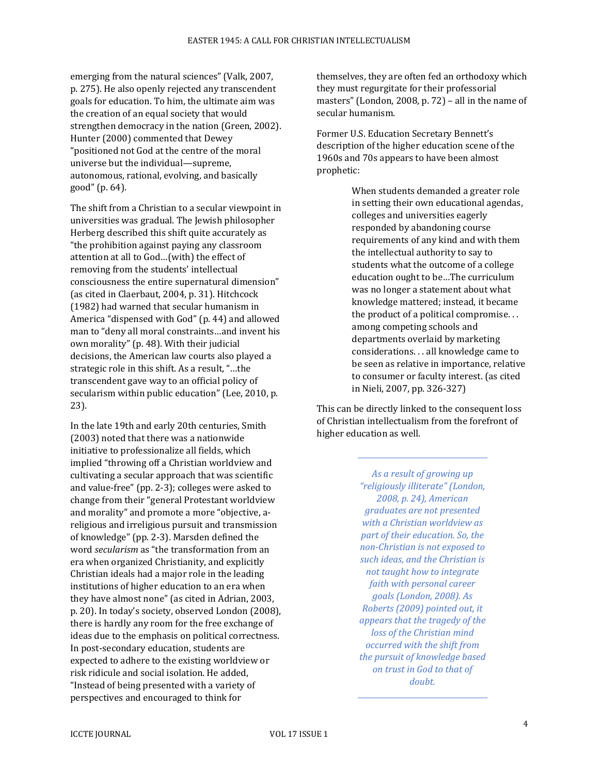emerging from the natural sciences" (Valk, 2007, p. 275). He also openly rejected any transcendent goals for education. To him, the ultimate aim was the creation of an equal society that would strengthen democracy in the nation (Green, 2002). Hunter (2000) commented that Dewey "positioned not God at the centre of the moral universe but the individual—supreme, autonomous, rational, evolving, and basically good" (p. 64).

The shift from a Christian to a secular viewpoint in universities was gradual. The Jewish philosopher Herberg described this shift quite accurately as "the prohibition against paying any classroom attention at all to God…(with) the effect of removing from the students' intellectual consciousness the entire supernatural dimension" (as cited in Claerbaut, 2004, p. 31). Hitchcock (1982) had warned that secular humanism in America "dispensed with God" (p. 44) and allowed man to "deny all moral constraints…and invent his own morality" (p. 48). With their judicial decisions, the American law courts also played a strategic role in this shift. As a result, "…the transcendent gave way to an official policy of secularism within public education" (Lee, 2010, p. 23).

In the late 19th and early 20th centuries, Smith (2003) noted that there was a nationwide initiative to professionalize all fields, which implied "throwing off a Christian worldview and cultivating a secular approach that was scientific and value-free" (pp. 2-3); colleges were asked to change from their "general Protestant worldview and morality" and promote a more "objective, areligious and irreligious pursuit and transmission of knowledge" (pp. 2-3). Marsden defined the word *secularism* as "the transformation from an era when organized Christianity, and explicitly Christian ideals had a major role in the leading institutions of higher education to an era when they have almost none" (as cited in Adrian, 2003, p. 20). In today's society, observed London (2008), there is hardly any room for the free exchange of ideas due to the emphasis on political correctness. In post-secondary education, students are expected to adhere to the existing worldview or risk ridicule and social isolation. He added, "Instead of being presented with a variety of perspectives and encouraged to think for

themselves, they are often fed an orthodoxy which they must regurgitate for their professorial masters" (London, 2008, p. 72) – all in the name of secular humanism.

Former U.S. Education Secretary Bennett's description of the higher education scene of the 1960s and 70s appears to have been almost prophetic:

> When students demanded a greater role in setting their own educational agendas, colleges and universities eagerly responded by abandoning course requirements of any kind and with them the intellectual authority to say to students what the outcome of a college education ought to be…The curriculum was no longer a statement about what knowledge mattered; instead, it became the product of a political compromise. . . among competing schools and departments overlaid by marketing considerations. . . all knowledge came to be seen as relative in importance, relative to consumer or faculty interest. (as cited in Nieli, 2007, pp. 326-327)

This can be directly linked to the consequent loss of Christian intellectualism from the forefront of higher education as well.

> *As a result of growing up "religiously illiterate" (London, 2008, p. 24), American graduates are not presented with a Christian worldview as part of their education. So, the non-Christian is not exposed to such ideas, and the Christian is not taught how to integrate faith with personal career goals (London, 2008). As Roberts (2009) pointed out, it appears that the tragedy of the loss of the Christian mind occurred with the shift from the pursuit of knowledge based on trust in God to that of doubt.*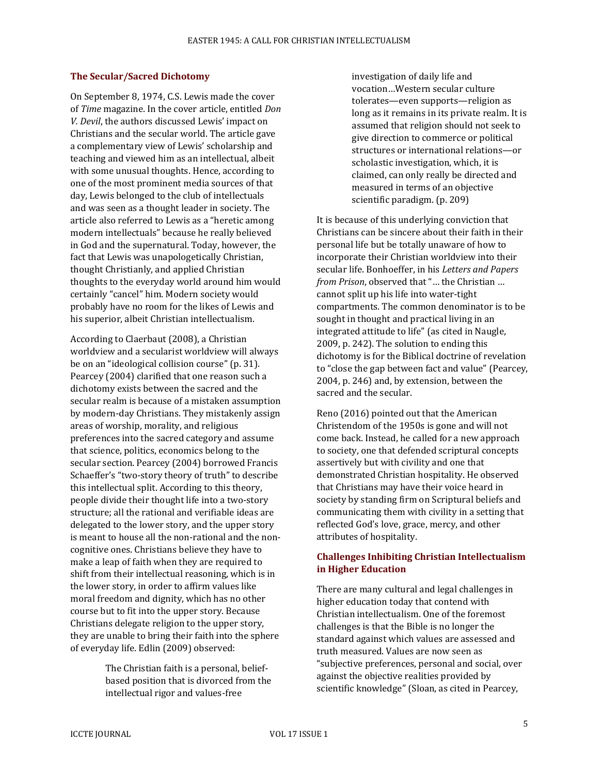#### **The Secular/Sacred Dichotomy**

On September 8, 1974, C.S. Lewis made the cover of *Time* magazine. In the cover article, entitled *Don V. Devil*, the authors discussed Lewis' impact on Christians and the secular world. The article gave a complementary view of Lewis' scholarship and teaching and viewed him as an intellectual, albeit with some unusual thoughts. Hence, according to one of the most prominent media sources of that day, Lewis belonged to the club of intellectuals and was seen as a thought leader in society. The article also referred to Lewis as a "heretic among modern intellectuals" because he really believed in God and the supernatural. Today, however, the fact that Lewis was unapologetically Christian, thought Christianly, and applied Christian thoughts to the everyday world around him would certainly "cancel" him. Modern society would probably have no room for the likes of Lewis and his superior, albeit Christian intellectualism.

According to Claerbaut (2008), a Christian worldview and a secularist worldview will always be on an "ideological collision course" (p. 31). Pearcey (2004) clarified that one reason such a dichotomy exists between the sacred and the secular realm is because of a mistaken assumption by modern-day Christians. They mistakenly assign areas of worship, morality, and religious preferences into the sacred category and assume that science, politics, economics belong to the secular section. Pearcey (2004) borrowed Francis Schaeffer's "two-story theory of truth" to describe this intellectual split. According to this theory, people divide their thought life into a two-story structure; all the rational and verifiable ideas are delegated to the lower story, and the upper story is meant to house all the non-rational and the noncognitive ones. Christians believe they have to make a leap of faith when they are required to shift from their intellectual reasoning, which is in the lower story, in order to affirm values like moral freedom and dignity, which has no other course but to fit into the upper story. Because Christians delegate religion to the upper story, they are unable to bring their faith into the sphere of everyday life. Edlin (2009) observed:

> The Christian faith is a personal, beliefbased position that is divorced from the intellectual rigor and values-free

investigation of daily life and vocation…Western secular culture tolerates—even supports—religion as long as it remains in its private realm. It is assumed that religion should not seek to give direction to commerce or political structures or international relations—or scholastic investigation, which, it is claimed, can only really be directed and measured in terms of an objective scientific paradigm. (p. 209)

It is because of this underlying conviction that Christians can be sincere about their faith in their personal life but be totally unaware of how to incorporate their Christian worldview into their secular life. Bonhoeffer, in his *Letters and Papers from Prison*, observed that "… the Christian … cannot split up his life into water-tight compartments. The common denominator is to be sought in thought and practical living in an integrated attitude to life" (as cited in Naugle, 2009, p. 242). The solution to ending this dichotomy is for the Biblical doctrine of revelation to "close the gap between fact and value" (Pearcey, 2004, p. 246) and, by extension, between the sacred and the secular.

Reno (2016) pointed out that the American Christendom of the 1950s is gone and will not come back. Instead, he called for a new approach to society, one that defended scriptural concepts assertively but with civility and one that demonstrated Christian hospitality. He observed that Christians may have their voice heard in society by standing firm on Scriptural beliefs and communicating them with civility in a setting that reflected God's love, grace, mercy, and other attributes of hospitality.

#### **Challenges Inhibiting Christian Intellectualism in Higher Education**

There are many cultural and legal challenges in higher education today that contend with Christian intellectualism. One of the foremost challenges is that the Bible is no longer the standard against which values are assessed and truth measured. Values are now seen as "subjective preferences, personal and social, over against the objective realities provided by scientific knowledge" (Sloan, as cited in Pearcey,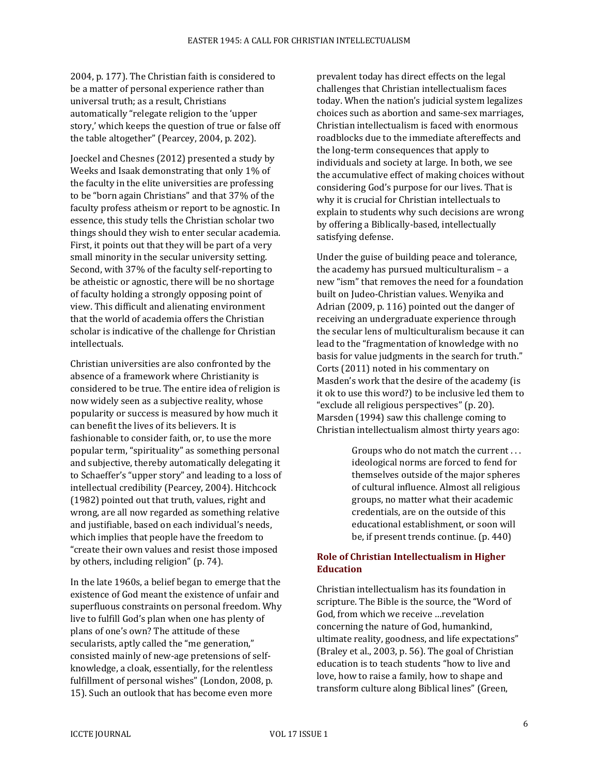2004, p. 177). The Christian faith is considered to be a matter of personal experience rather than universal truth; as a result, Christians automatically "relegate religion to the 'upper story,' which keeps the question of true or false off the table altogether" (Pearcey, 2004, p. 202).

Joeckel and Chesnes (2012) presented a study by Weeks and Isaak demonstrating that only 1% of the faculty in the elite universities are professing to be "born again Christians" and that 37% of the faculty profess atheism or report to be agnostic. In essence, this study tells the Christian scholar two things should they wish to enter secular academia. First, it points out that they will be part of a very small minority in the secular university setting. Second, with 37% of the faculty self-reporting to be atheistic or agnostic, there will be no shortage of faculty holding a strongly opposing point of view. This difficult and alienating environment that the world of academia offers the Christian scholar is indicative of the challenge for Christian intellectuals.

Christian universities are also confronted by the absence of a framework where Christianity is considered to be true. The entire idea of religion is now widely seen as a subjective reality, whose popularity or success is measured by how much it can benefit the lives of its believers. It is fashionable to consider faith, or, to use the more popular term, "spirituality" as something personal and subjective, thereby automatically delegating it to Schaeffer's "upper story" and leading to a loss of intellectual credibility (Pearcey, 2004). Hitchcock (1982) pointed out that truth, values, right and wrong, are all now regarded as something relative and justifiable, based on each individual's needs, which implies that people have the freedom to "create their own values and resist those imposed by others, including religion" (p. 74).

In the late 1960s, a belief began to emerge that the existence of God meant the existence of unfair and superfluous constraints on personal freedom. Why live to fulfill God's plan when one has plenty of plans of one's own? The attitude of these secularists, aptly called the "me generation," consisted mainly of new-age pretensions of selfknowledge, a cloak, essentially, for the relentless fulfillment of personal wishes" (London, 2008, p. 15). Such an outlook that has become even more

prevalent today has direct effects on the legal challenges that Christian intellectualism faces today. When the nation's judicial system legalizes choices such as abortion and same-sex marriages, Christian intellectualism is faced with enormous roadblocks due to the immediate aftereffects and the long-term consequences that apply to individuals and society at large. In both, we see the accumulative effect of making choices without considering God's purpose for our lives. That is why it is crucial for Christian intellectuals to explain to students why such decisions are wrong by offering a Biblically-based, intellectually satisfying defense.

Under the guise of building peace and tolerance, the academy has pursued multiculturalism – a new "ism" that removes the need for a foundation built on Judeo-Christian values. Wenyika and Adrian (2009, p. 116) pointed out the danger of receiving an undergraduate experience through the secular lens of multiculturalism because it can lead to the "fragmentation of knowledge with no basis for value judgments in the search for truth." Corts (2011) noted in his commentary on Masden's work that the desire of the academy (is it ok to use this word?) to be inclusive led them to "exclude all religious perspectives" (p. 20). Marsden (1994) saw this challenge coming to Christian intellectualism almost thirty years ago:

> Groups who do not match the current . . . ideological norms are forced to fend for themselves outside of the major spheres of cultural influence. Almost all religious groups, no matter what their academic credentials, are on the outside of this educational establishment, or soon will be, if present trends continue. (p. 440)

#### **Role of Christian Intellectualism in Higher Education**

Christian intellectualism has its foundation in scripture. The Bible is the source, the "Word of God, from which we receive …revelation concerning the nature of God, humankind, ultimate reality, goodness, and life expectations" (Braley et al., 2003, p. 56). The goal of Christian education is to teach students "how to live and love, how to raise a family, how to shape and transform culture along Biblical lines" (Green,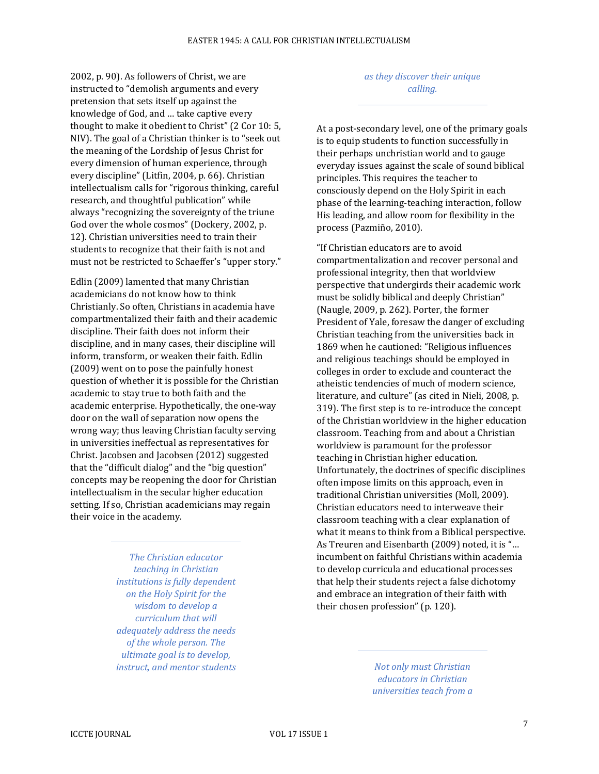2002, p. 90). As followers of Christ, we are instructed to "demolish arguments and every pretension that sets itself up against the knowledge of God, and … take captive every thought to make it obedient to Christ" (2 Cor 10: 5, NIV). The goal of a Christian thinker is to "seek out the meaning of the Lordship of Jesus Christ for every dimension of human experience, through every discipline" (Litfin, 2004, p. 66). Christian intellectualism calls for "rigorous thinking, careful research, and thoughtful publication" while always "recognizing the sovereignty of the triune God over the whole cosmos" (Dockery, 2002, p. 12). Christian universities need to train their students to recognize that their faith is not and must not be restricted to Schaeffer's "upper story."

Edlin (2009) lamented that many Christian academicians do not know how to think Christianly. So often, Christians in academia have compartmentalized their faith and their academic discipline. Their faith does not inform their discipline, and in many cases, their discipline will inform, transform, or weaken their faith. Edlin (2009) went on to pose the painfully honest question of whether it is possible for the Christian academic to stay true to both faith and the academic enterprise. Hypothetically, the one-way door on the wall of separation now opens the wrong way; thus leaving Christian faculty serving in universities ineffectual as representatives for Christ. Jacobsen and Jacobsen (2012) suggested that the "difficult dialog" and the "big question" concepts may be reopening the door for Christian intellectualism in the secular higher education setting. If so, Christian academicians may regain their voice in the academy.

> *The Christian educator teaching in Christian institutions is fully dependent on the Holy Spirit for the wisdom to develop a curriculum that will adequately address the needs of the whole person. The ultimate goal is to develop, instruct, and mentor students*

*as they discover their unique calling.*

At a post-secondary level, one of the primary goals is to equip students to function successfully in their perhaps unchristian world and to gauge everyday issues against the scale of sound biblical principles. This requires the teacher to consciously depend on the Holy Spirit in each phase of the learning-teaching interaction, follow His leading, and allow room for flexibility in the process (Pazmiño, 2010).

"If Christian educators are to avoid compartmentalization and recover personal and professional integrity, then that worldview perspective that undergirds their academic work must be solidly biblical and deeply Christian" (Naugle, 2009, p. 262). Porter, the former President of Yale, foresaw the danger of excluding Christian teaching from the universities back in 1869 when he cautioned: "Religious influences and religious teachings should be employed in colleges in order to exclude and counteract the atheistic tendencies of much of modern science, literature, and culture" (as cited in Nieli, 2008, p. 319). The first step is to re-introduce the concept of the Christian worldview in the higher education classroom. Teaching from and about a Christian worldview is paramount for the professor teaching in Christian higher education. Unfortunately, the doctrines of specific disciplines often impose limits on this approach, even in traditional Christian universities (Moll, 2009). Christian educators need to interweave their classroom teaching with a clear explanation of what it means to think from a Biblical perspective. As Treuren and Eisenbarth (2009) noted, it is "… incumbent on faithful Christians within academia to develop curricula and educational processes that help their students reject a false dichotomy and embrace an integration of their faith with their chosen profession" (p. 120).

> *Not only must Christian educators in Christian universities teach from a*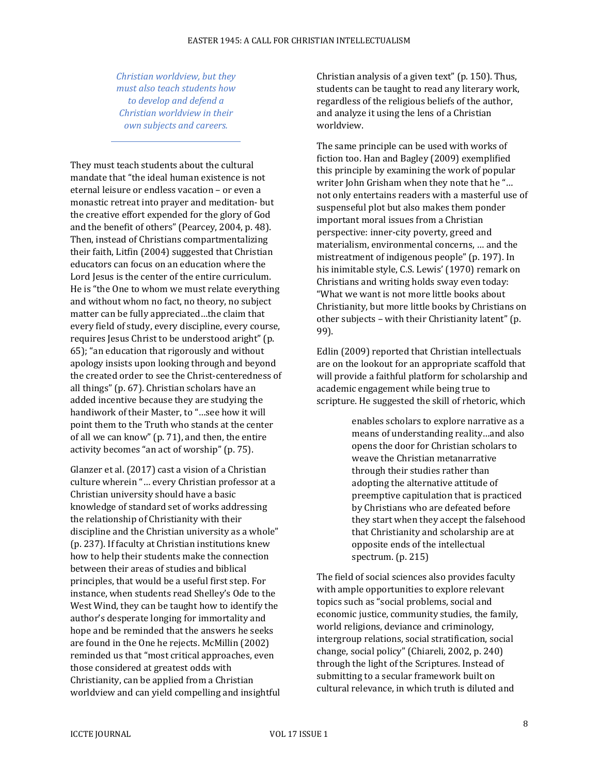*Christian worldview, but they must also teach students how to develop and defend a Christian worldview in their own subjects and careers.*

They must teach students about the cultural mandate that "the ideal human existence is not eternal leisure or endless vacation – or even a monastic retreat into prayer and meditation- but the creative effort expended for the glory of God and the benefit of others" (Pearcey, 2004, p. 48). Then, instead of Christians compartmentalizing their faith, Litfin (2004) suggested that Christian educators can focus on an education where the Lord Jesus is the center of the entire curriculum. He is "the One to whom we must relate everything and without whom no fact, no theory, no subject matter can be fully appreciated…the claim that every field of study, every discipline, every course, requires Jesus Christ to be understood aright" (p. 65); "an education that rigorously and without apology insists upon looking through and beyond the created order to see the Christ-centeredness of all things" (p. 67). Christian scholars have an added incentive because they are studying the handiwork of their Master, to "…see how it will point them to the Truth who stands at the center of all we can know" (p. 71), and then, the entire activity becomes "an act of worship" (p. 75).

Glanzer et al. (2017) cast a vision of a Christian culture wherein "… every Christian professor at a Christian university should have a basic knowledge of standard set of works addressing the relationship of Christianity with their discipline and the Christian university as a whole" (p. 237). If faculty at Christian institutions knew how to help their students make the connection between their areas of studies and biblical principles, that would be a useful first step. For instance, when students read Shelley's Ode to the West Wind, they can be taught how to identify the author's desperate longing for immortality and hope and be reminded that the answers he seeks are found in the One he rejects. McMillin (2002) reminded us that "most critical approaches, even those considered at greatest odds with Christianity, can be applied from a Christian worldview and can yield compelling and insightful Christian analysis of a given text" (p. 150). Thus, students can be taught to read any literary work, regardless of the religious beliefs of the author, and analyze it using the lens of a Christian worldview.

The same principle can be used with works of fiction too. Han and Bagley (2009) exemplified this principle by examining the work of popular writer John Grisham when they note that he "… not only entertains readers with a masterful use of suspenseful plot but also makes them ponder important moral issues from a Christian perspective: inner-city poverty, greed and materialism, environmental concerns, … and the mistreatment of indigenous people" (p. 197). In his inimitable style, C.S. Lewis' (1970) remark on Christians and writing holds sway even today: "What we want is not more little books about Christianity, but more little books by Christians on other subjects – with their Christianity latent" (p. 99).

Edlin (2009) reported that Christian intellectuals are on the lookout for an appropriate scaffold that will provide a faithful platform for scholarship and academic engagement while being true to scripture. He suggested the skill of rhetoric, which

> enables scholars to explore narrative as a means of understanding reality…and also opens the door for Christian scholars to weave the Christian metanarrative through their studies rather than adopting the alternative attitude of preemptive capitulation that is practiced by Christians who are defeated before they start when they accept the falsehood that Christianity and scholarship are at opposite ends of the intellectual spectrum. (p. 215)

The field of social sciences also provides faculty with ample opportunities to explore relevant topics such as "social problems, social and economic justice, community studies, the family, world religions, deviance and criminology, intergroup relations, social stratification, social change, social policy" (Chiareli, 2002, p. 240) through the light of the Scriptures. Instead of submitting to a secular framework built on cultural relevance, in which truth is diluted and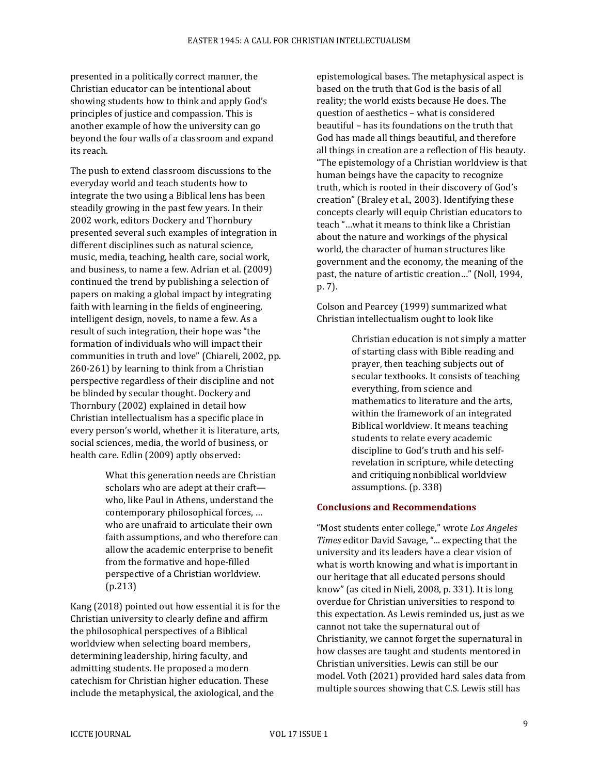presented in a politically correct manner, the Christian educator can be intentional about showing students how to think and apply God's principles of justice and compassion. This is another example of how the university can go beyond the four walls of a classroom and expand its reach.

The push to extend classroom discussions to the everyday world and teach students how to integrate the two using a Biblical lens has been steadily growing in the past few years. In their 2002 work, editors Dockery and Thornbury presented several such examples of integration in different disciplines such as natural science, music, media, teaching, health care, social work, and business, to name a few. Adrian et al. (2009) continued the trend by publishing a selection of papers on making a global impact by integrating faith with learning in the fields of engineering, intelligent design, novels, to name a few. As a result of such integration, their hope was "the formation of individuals who will impact their communities in truth and love" (Chiareli, 2002, pp. 260-261) by learning to think from a Christian perspective regardless of their discipline and not be blinded by secular thought. Dockery and Thornbury (2002) explained in detail how Christian intellectualism has a specific place in every person's world, whether it is literature, arts, social sciences, media, the world of business, or health care. Edlin (2009) aptly observed:

> What this generation needs are Christian scholars who are adept at their craft who, like Paul in Athens, understand the contemporary philosophical forces, … who are unafraid to articulate their own faith assumptions, and who therefore can allow the academic enterprise to benefit from the formative and hope-filled perspective of a Christian worldview. (p.213)

Kang (2018) pointed out how essential it is for the Christian university to clearly define and affirm the philosophical perspectives of a Biblical worldview when selecting board members, determining leadership, hiring faculty, and admitting students. He proposed a modern catechism for Christian higher education. These include the metaphysical, the axiological, and the

epistemological bases. The metaphysical aspect is based on the truth that God is the basis of all reality; the world exists because He does. The question of aesthetics – what is considered beautiful – has its foundations on the truth that God has made all things beautiful, and therefore all things in creation are a reflection of His beauty. "The epistemology of a Christian worldview is that human beings have the capacity to recognize truth, which is rooted in their discovery of God's creation" (Braley et al., 2003). Identifying these concepts clearly will equip Christian educators to teach "…what it means to think like a Christian about the nature and workings of the physical world, the character of human structures like government and the economy, the meaning of the past, the nature of artistic creation…" (Noll, 1994, p. 7).

Colson and Pearcey (1999) summarized what Christian intellectualism ought to look like

> Christian education is not simply a matter of starting class with Bible reading and prayer, then teaching subjects out of secular textbooks. It consists of teaching everything, from science and mathematics to literature and the arts, within the framework of an integrated Biblical worldview. It means teaching students to relate every academic discipline to God's truth and his selfrevelation in scripture, while detecting and critiquing nonbiblical worldview assumptions. (p. 338)

#### **Conclusions and Recommendations**

"Most students enter college," wrote *Los Angeles Times* editor David Savage, "... expecting that the university and its leaders have a clear vision of what is worth knowing and what is important in our heritage that all educated persons should know" (as cited in Nieli, 2008, p. 331). It is long overdue for Christian universities to respond to this expectation. As Lewis reminded us, just as we cannot not take the supernatural out of Christianity, we cannot forget the supernatural in how classes are taught and students mentored in Christian universities. Lewis can still be our model. Voth (2021) provided hard sales data from multiple sources showing that C.S. Lewis still has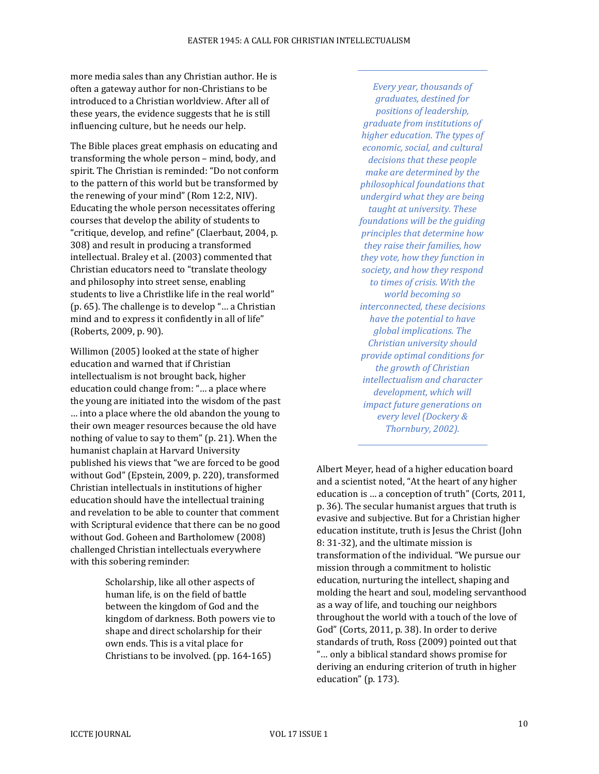more media sales than any Christian author. He is often a gateway author for non-Christians to be introduced to a Christian worldview. After all of these years, the evidence suggests that he is still influencing culture, but he needs our help.

The Bible places great emphasis on educating and transforming the whole person – mind, body, and spirit. The Christian is reminded: "Do not conform to the pattern of this world but be transformed by the renewing of your mind" (Rom 12:2, NIV). Educating the whole person necessitates offering courses that develop the ability of students to "critique, develop, and refine" (Claerbaut, 2004, p. 308) and result in producing a transformed intellectual. Braley et al. (2003) commented that Christian educators need to "translate theology and philosophy into street sense, enabling students to live a Christlike life in the real world" (p. 65). The challenge is to develop "… a Christian mind and to express it confidently in all of life" (Roberts, 2009, p. 90).

Willimon (2005) looked at the state of higher education and warned that if Christian intellectualism is not brought back, higher education could change from: "… a place where the young are initiated into the wisdom of the past … into a place where the old abandon the young to their own meager resources because the old have nothing of value to say to them" (p. 21). When the humanist chaplain at Harvard University published his views that "we are forced to be good without God" (Epstein, 2009, p. 220), transformed Christian intellectuals in institutions of higher education should have the intellectual training and revelation to be able to counter that comment with Scriptural evidence that there can be no good without God. Goheen and Bartholomew (2008) challenged Christian intellectuals everywhere with this sobering reminder:

> Scholarship, like all other aspects of human life, is on the field of battle between the kingdom of God and the kingdom of darkness. Both powers vie to shape and direct scholarship for their own ends. This is a vital place for Christians to be involved. (pp. 164-165)

*Every year, thousands of graduates, destined for positions of leadership, graduate from institutions of higher education. The types of economic, social, and cultural decisions that these people make are determined by the philosophical foundations that undergird what they are being taught at university. These foundations will be the guiding principles that determine how they raise their families, how they vote, how they function in society, and how they respond to times of crisis. With the world becoming so interconnected, these decisions have the potential to have global implications. The Christian university should provide optimal conditions for the growth of Christian intellectualism and character development, which will impact future generations on every level (Dockery & Thornbury, 2002).*

Albert Meyer, head of a higher education board and a scientist noted, "At the heart of any higher education is … a conception of truth" (Corts, 2011, p. 36). The secular humanist argues that truth is evasive and subjective. But for a Christian higher education institute, truth is Jesus the Christ (John 8: 31-32), and the ultimate mission is transformation of the individual. "We pursue our mission through a commitment to holistic education, nurturing the intellect, shaping and molding the heart and soul, modeling servanthood as a way of life, and touching our neighbors throughout the world with a touch of the love of God" (Corts, 2011, p. 38). In order to derive standards of truth, Ross (2009) pointed out that "… only a biblical standard shows promise for deriving an enduring criterion of truth in higher education" (p. 173).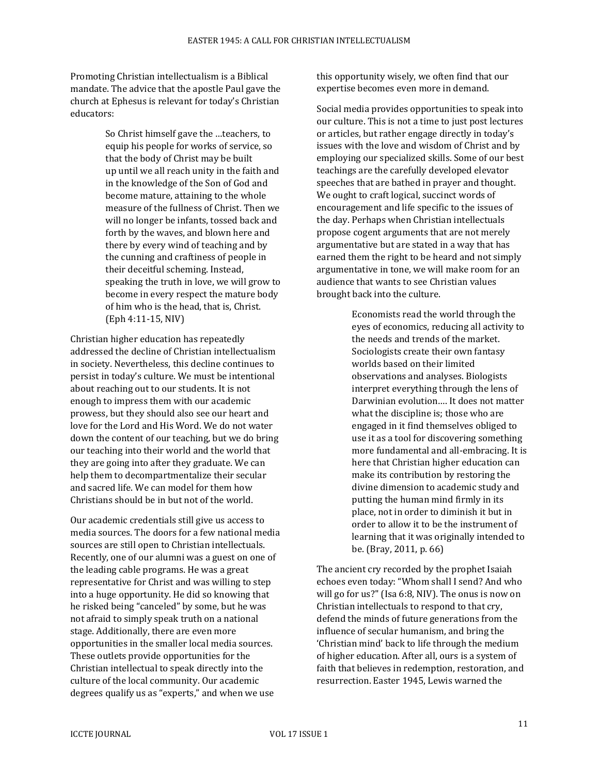Promoting Christian intellectualism is a Biblical mandate. The advice that the apostle Paul gave the church at Ephesus is relevant for today's Christian educators:

> So Christ himself gave the …teachers, to equip his people for works of service, so that the body of Christ may be built up until we all reach unity in the faith and in the knowledge of the Son of God and become mature, attaining to the whole measure of the fullness of Christ. Then we will no longer be infants, tossed back and forth by the waves, and blown here and there by every wind of teaching and by the cunning and craftiness of people in their deceitful scheming. Instead, speaking the truth in love, we will grow to become in every respect the mature body of him who is the head, that is, Christ. (Eph 4:11-15, NIV)

Christian higher education has repeatedly addressed the decline of Christian intellectualism in society. Nevertheless, this decline continues to persist in today's culture. We must be intentional about reaching out to our students. It is not enough to impress them with our academic prowess, but they should also see our heart and love for the Lord and His Word. We do not water down the content of our teaching, but we do bring our teaching into their world and the world that they are going into after they graduate. We can help them to decompartmentalize their secular and sacred life. We can model for them how Christians should be in but not of the world.

Our academic credentials still give us access to media sources. The doors for a few national media sources are still open to Christian intellectuals. Recently, one of our alumni was a guest on one of the leading cable programs. He was a great representative for Christ and was willing to step into a huge opportunity. He did so knowing that he risked being "canceled" by some, but he was not afraid to simply speak truth on a national stage. Additionally, there are even more opportunities in the smaller local media sources. These outlets provide opportunities for the Christian intellectual to speak directly into the culture of the local community. Our academic degrees qualify us as "experts," and when we use

this opportunity wisely, we often find that our expertise becomes even more in demand.

Social media provides opportunities to speak into our culture. This is not a time to just post lectures or articles, but rather engage directly in today's issues with the love and wisdom of Christ and by employing our specialized skills. Some of our best teachings are the carefully developed elevator speeches that are bathed in prayer and thought. We ought to craft logical, succinct words of encouragement and life specific to the issues of the day. Perhaps when Christian intellectuals propose cogent arguments that are not merely argumentative but are stated in a way that has earned them the right to be heard and not simply argumentative in tone, we will make room for an audience that wants to see Christian values brought back into the culture.

> Economists read the world through the eyes of economics, reducing all activity to the needs and trends of the market. Sociologists create their own fantasy worlds based on their limited observations and analyses. Biologists interpret everything through the lens of Darwinian evolution…. It does not matter what the discipline is; those who are engaged in it find themselves obliged to use it as a tool for discovering something more fundamental and all-embracing. It is here that Christian higher education can make its contribution by restoring the divine dimension to academic study and putting the human mind firmly in its place, not in order to diminish it but in order to allow it to be the instrument of learning that it was originally intended to be. (Bray, 2011, p. 66)

The ancient cry recorded by the prophet Isaiah echoes even today: "Whom shall I send? And who will go for us?" (Isa 6:8, NIV). The onus is now on Christian intellectuals to respond to that cry, defend the minds of future generations from the influence of secular humanism, and bring the 'Christian mind' back to life through the medium of higher education. After all, ours is a system of faith that believes in redemption, restoration, and resurrection. Easter 1945, Lewis warned the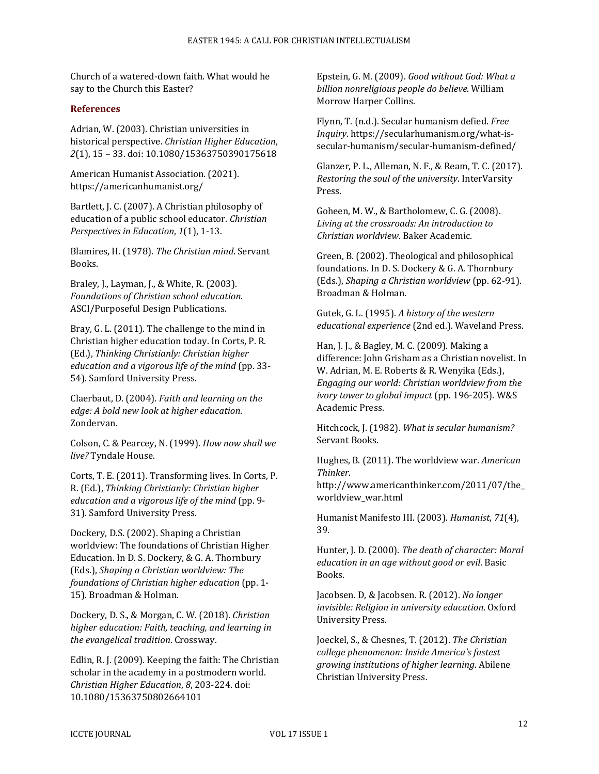Church of a watered-down faith. What would he say to the Church this Easter?

#### **References**

Adrian, W. (2003). Christian universities in historical perspective. *Christian Higher Education*, *2*(1), 15 – 33. doi: 10.1080/15363750390175618

American Humanist Association. (2021). https://americanhumanist.org/

Bartlett, J. C. (2007). A Christian philosophy of education of a public school educator. *Christian Perspectives in Education*, *1*(1), 1-13.

Blamires, H. (1978). *The Christian mind*. Servant Books.

Braley, J., Layman, J., & White, R. (2003). *Foundations of Christian school education*. ASCI/Purposeful Design Publications.

Bray, G. L. (2011). The challenge to the mind in Christian higher education today. In Corts, P. R. (Ed.), *Thinking Christianly: Christian higher education and a vigorous life of the mind* (pp. 33- 54). Samford University Press.

Claerbaut, D. (2004). *Faith and learning on the edge: A bold new look at higher education*. Zondervan.

Colson, C. & Pearcey, N. (1999). *How now shall we live?* Tyndale House.

Corts, T. E. (2011). Transforming lives. In Corts, P. R. (Ed.), *Thinking Christianly: Christian higher education and a vigorous life of the mind* (pp. 9- 31). Samford University Press.

Dockery, D.S. (2002). Shaping a Christian worldview: The foundations of Christian Higher Education. In D. S. Dockery, & G. A. Thornbury (Eds.), *Shaping a Christian worldview: The foundations of Christian higher education* (pp. 1- 15). Broadman & Holman.

Dockery, D. S., & Morgan, C. W. (2018). *Christian higher education: Faith, teaching, and learning in the evangelical tradition*. Crossway.

Edlin, R. J. (2009). Keeping the faith: The Christian scholar in the academy in a postmodern world. *Christian Higher Education*, *8*, 203-224. doi: 10.1080/15363750802664101

Epstein, G. M. (2009). *Good without God: What a billion nonreligious people do believe*. William Morrow Harper Collins.

Flynn, T. (n.d.). Secular humanism defied. *Free Inquiry*. https://secularhumanism.org/what-issecular-humanism/secular-humanism-defined/

Glanzer, P. L., Alleman, N. F., & Ream, T. C. (2017). *Restoring the soul of the university*. InterVarsity Press.

Goheen, M. W., & Bartholomew, C. G. (2008). *Living at the crossroads: An introduction to Christian worldview*. Baker Academic.

Green, B. (2002). Theological and philosophical foundations. In D. S. Dockery & G. A. Thornbury (Eds.), *Shaping a Christian worldview* (pp. 62-91). Broadman & Holman.

Gutek, G. L. (1995). *A history of the western educational experience* (2nd ed.). Waveland Press.

Han, J. J., & Bagley, M. C. (2009). Making a difference: John Grisham as a Christian novelist. In W. Adrian, M. E. Roberts & R. Wenyika (Eds.), *Engaging our world: Christian worldview from the ivory tower to global impact* (pp. 196-205). W&S Academic Press.

Hitchcock, J. (1982). *What is secular humanism?* Servant Books.

Hughes, B. (2011). The worldview war. *American Thinker*.

http://www.americanthinker.com/2011/07/the\_ worldview\_war.html

Humanist Manifesto III. (2003). *Humanist*, *71*(4), 39.

Hunter, J. D. (2000). *The death of character: Moral education in an age without good or evil*. Basic Books.

Jacobsen. D, & Jacobsen. R. (2012). *No longer invisible: Religion in university education*. Oxford University Press.

Joeckel, S., & Chesnes, T. (2012). *The Christian college phenomenon: Inside America's fastest growing institutions of higher learning*. Abilene Christian University Press.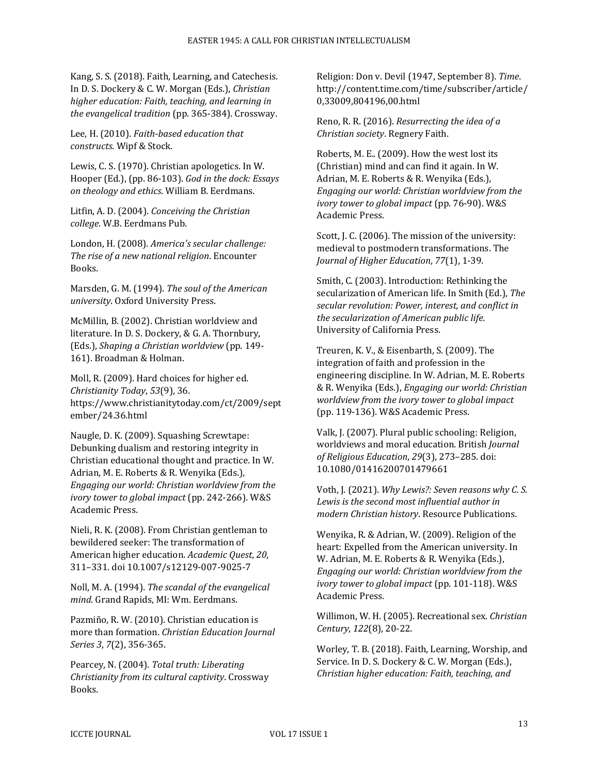Kang, S. S. (2018). Faith, Learning, and Catechesis. In D. S. Dockery & C. W. Morgan (Eds.), *Christian higher education: Faith, teaching, and learning in the evangelical tradition* (pp. 365-384). Crossway.

Lee, H. (2010). *Faith-based education that constructs*. Wipf & Stock.

Lewis, C. S. (1970). Christian apologetics. In W. Hooper (Ed.), (pp. 86-103). *God in the dock: Essays on theology and ethics*. William B. Eerdmans.

Litfin, A. D. (2004). *Conceiving the Christian college*. W.B. Eerdmans Pub.

London, H. (2008). *America's secular challenge: The rise of a new national religion*. Encounter Books.

Marsden, G. M. (1994). *The soul of the American university*. Oxford University Press.

McMillin, B. (2002). Christian worldview and literature. In D. S. Dockery, & G. A. Thornbury, (Eds.), *Shaping a Christian worldview* (pp. 149- 161). Broadman & Holman.

Moll, R. (2009). Hard choices for higher ed. *Christianity Today*, *53*(9), 36. https://www.christianitytoday.com/ct/2009/sept ember/24.36.html

Naugle, D. K. (2009). Squashing Screwtape: Debunking dualism and restoring integrity in Christian educational thought and practice. In W. Adrian, M. E. Roberts & R. Wenyika (Eds.), *Engaging our world: Christian worldview from the ivory tower to global impact* (pp. 242-266). W&S Academic Press.

Nieli, R. K. (2008). From Christian gentleman to bewildered seeker: The transformation of American higher education. *Academic Quest*, *20*, 311–331. doi 10.1007/s12129-007-9025-7

Noll, M. A. (1994). *The scandal of the evangelical mind*. Grand Rapids, MI: Wm. Eerdmans.

Pazmiño, R. W. (2010). Christian education is more than formation. *Christian Education Journal Series 3*, *7*(2), 356-365.

Pearcey, N. (2004). *Total truth: Liberating Christianity from its cultural captivity*. Crossway Books.

Religion: Don v. Devil (1947, September 8). *Time*. http://content.time.com/time/subscriber/article/ 0,33009,804196,00.html

Reno, R. R. (2016). *Resurrecting the idea of a Christian society*. Regnery Faith.

Roberts, M. E.. (2009). How the west lost its (Christian) mind and can find it again. In W. Adrian, M. E. Roberts & R. Wenyika (Eds.), *Engaging our world: Christian worldview from the ivory tower to global impact* (pp. 76-90). W&S Academic Press.

Scott, J. C. (2006). The mission of the university: medieval to postmodern transformations. The *Journal of Higher Education*, *77*(1), 1-39.

Smith, C. (2003). Introduction: Rethinking the secularization of American life. In Smith (Ed.), *The secular revolution: Power, interest, and conflict in the secularization of American public life*. University of California Press.

Treuren, K. V., & Eisenbarth, S. (2009). The integration of faith and profession in the engineering discipline. In W. Adrian, M. E. Roberts & R. Wenyika (Eds.), *Engaging our world: Christian worldview from the ivory tower to global impact* (pp. 119-136). W&S Academic Press.

Valk, J. (2007). Plural public schooling: Religion, worldviews and moral education. British *Journal of Religious Education*, *29*(3), 273–285. doi: 10.1080/01416200701479661

Voth, J. (2021). *Why Lewis?: Seven reasons why C. S. Lewis is the second most influential author in modern Christian history*. Resource Publications.

Wenyika, R. & Adrian, W. (2009). Religion of the heart: Expelled from the American university. In W. Adrian, M. E. Roberts & R. Wenyika (Eds.), *Engaging our world: Christian worldview from the ivory tower to global impact* (pp. 101-118). W&S Academic Press.

Willimon, W. H. (2005). Recreational sex. *Christian Century*, *122*(8), 20-22.

Worley, T. B. (2018). Faith, Learning, Worship, and Service. In D. S. Dockery & C. W. Morgan (Eds.), *Christian higher education: Faith, teaching, and*